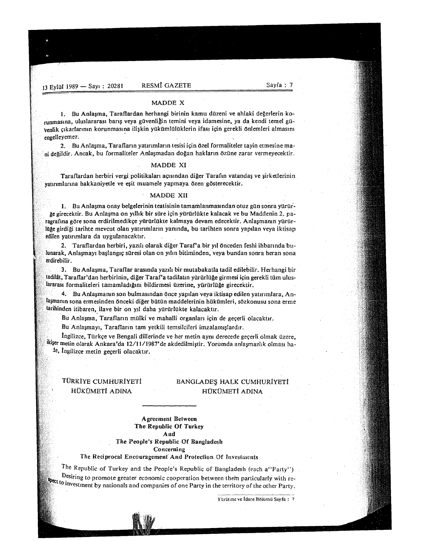#### MADDE X

I. Bu Anlasma, Taraflardan herhangi birinin kamu dUzeni ve ahlaki degerlerin korunmasına, uluslararası barış veya güvenliğin temini veya idamesine, ya da kendi temel güvenlik çıkarlarının korunmasına ilişkin yükümlülüklerin ifası için gerekli önlemleri almasını engelleyemez.

2. Bu Anlasma, Tarafların yatırımların tesisi için özel formaliteler tayin etmesine ma--ni degildir. Ancak, bu formaliteler Anlasmadan dogan haklann Ozilne zarar vermeyecektir.

# MADDE XI

Taraflardan herbiri vergi politikaları açısından diğer Tarafın vatandaş ve şirketlerinin yatırımlarına hakkaniyetle ve eşit muamele yapmaya özen gösterecektir.

# MADDE XII

1. Bu Anlaşma onay belgelerinin teatisinin tamamlanmasından otuz gün sonra yürürğe girecektir. Bu Anlaşma on yıllık bir süre için yürürlükte kalacak ve bu Maddenin 2. paragrafina göre sona erdirilmedikce yürürlükte kalmaya devam edecektir. Anlaşmanın yürürlüğe girdiği tarihte mevcut olan yatırımların yanında, bu tarihten sonra yapılan veya iktisap edilen yatırımlara da uygulanacaktır.

2. Taraflardan herbiri, yazılı olarak diğer Taraf'a bir yıl önceden feshi ihbarında bulunarak, Anlasmayı başlangıç süresi olan on yılın bitiminden, veya bundan sonra heran sona erdirebilir.

3. Bu Anlasma, Taraflar arasmda yazdi bir mutabakatla tadil edilebilir. Herhangi hir tadilât, Taraflar'dan herbirinin, diğer Taraf'a tadilatın yürürlüğe girmesi için gerekli tüm uluslararası formaliteleri tamamladığını bildirmesi üzerine, yürürlüğe girecektir.

4. Bu Anlaşmanın son bulmasından önce yapılan veya iktisap edilen yatırımlara, Anlaşmanın sona ermesinden önceki diğer bütün maddelerinin hükümleri, sözkonusu sona erme tarihinden itibaren, ilave bir on yıl daha yürürlükte kalacaktır.

Bu Anlaşma, Tarafların mülki ve mahalli organları icin de gecerli olacaktır.

Bu'Anlasmayı, Tarafların tam yetkili temsilcileri imzalamışlardır.

Ingilizce, Türkce ve Bengali dillerinde ve her metin aynı derecede gecerli olmak üzere, ikişer metin olarak Ankara'da 12/11/1987'de akdedilmiştir. Yorumda anlaşmazlık olması hate, Ingilizce metin geçerli olacaktır.

# TORKtYE CUMHURIYETl HOKOMETt ADINA

# BANGLADEŞ HALK CUMHURIYETİ HÜKÜMETİ ADINA

# Agreement Between The Republic Of Turkey And The People's Republic Of Bangladesh

Concerning

# The Reciprocal Encouragement And Protection Of Investments

The Republic of Turkey and the People's Republic of Bangladesh (each a"Party") Desiring to promote greater economic cooperation between them particularly with rethe companies of one Party in the territory of the other Party.<br>We to investment by nationals and companies of one Party in the territory of the other Party.

Yürütme ve İdare Bölümü Sayfa: 7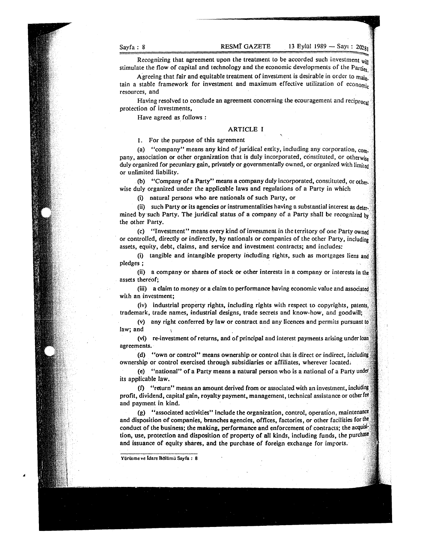'.

xtere and Recognizing that agreement upon the treatment to be accorded such investment will stimulate the flow of capital and technology and the economic developments of the Parties

Agreeing that fair and equitable treatment of investment is desirable in order to  $m_{\text{dip}}$ . tain a stable framework for investment and maximum effective utilization of economic resources, and

Having resolved to conclude an agreement concerning the ecouragement and reciprocal protection of investments,

Have agreed as follows:

# ARTICLE I

# 1. For the purpose of this agreement

(a) "company" means any kind of juridical entity, including any corporation,  $com_i$ pany, association or other organization that is duly incorporated, constituted, or otherwise duly organized for pecuniary gain, privately or governmentally owned, or organized with limited or unlimited liability.

(b) "Company of a Party" means a company duly incorporated, constituted, or other. wise duly organized under the applicable laws and regulations of a Party in which

(i) natural persons who are nationals of such Party, or

(ii) such Party or its agencies or instrumentalities having a substantial interest as determined by such Party. The juridical status of a company of a Party shall be recognized  $b<sub>y</sub>$ the other Party.

(c) "Investment" means every kind of investment in the territory of one Party owned or controlled, directly or indirectly, by nationals or companies of the other Party, including assets, equity, debt, claims, and service and investment contracts; and includes:

(i) tangible and intangible property including rights, such as mortgages liens and pledges;

(ii) a company or shares of stock or other interests in a company or interests in the assets thereof;

(iii) a claim to money or a claim to performance having economic value and associated with an investment;

(iv) industrial property rights, including rights with respect to copyrights, patents, trademark, trade names, industrial designs, trade secrets and know-how, and goodwill;

(v) any right conferred by law or contract and any licences and permits pursuant law; and

(vi) re-investment of returns, and of principal and interest payments arising under loan agreements.

(d) "own or control" means ownership or control that is direct or indirect, including ownership or control exercised through subsidiaries or affiliates, wherever located;

(e) "national" of a Party means a natural person who is a national of a Party its applicable law.

(f) "return" means an amount derived from or associated with an investment, including profit, dividend, capital gain, royalty payment, management, technical assistance or otherfee and payment in kind.

(g) "associated activities" include the organization, control, operation, maintenance and disposition of companies, branches agencies, offices, factories, or other facilities for the conduct of the business; the making, performance and enforcement of contracts; the acquisition, use, protection and disposition of property of all kinds, including funds, the purchase and issuance of equity shares, and the purchase of foreign exchange for imports.

Yürütme ve Idare Bolümü Sayfa: 8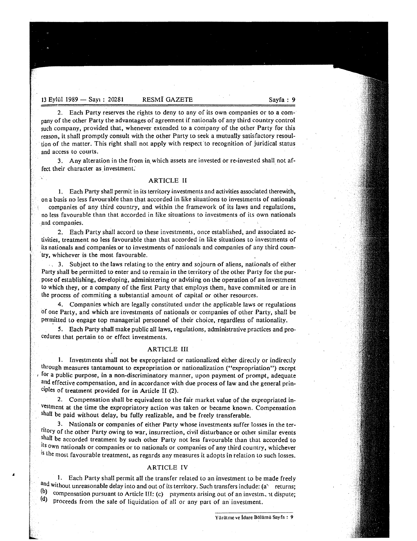13 Eylül 1989 - Sayı: 20281 RESMÎ GAZETE Sayfa: 9

V

2. Each Party reserves the rights to deny to any of its own companies or to a company of the other Party the advantages of agreement if nationals of any third country control such company, provided that, whenever extended to a company of the other Party for this reason, it shall promptly consult with the other Party to seek a mutually satisfactory resoultion of the matter. This right shall not apply with respect to recognition of juridical status and access to courts.

3. Any alteration in the from in which assets are invested or re-invested shall not affect their character as investment.

# ARTICLE II

1. Each Party shall permit in its territory investments and activities associated therewith, on a basis no less favourable than that accorded in like situations to investments of nationals companies of any third country, and within the framework of its laws and regulations, no less favourable than that accorded in like situations to investments of its own nationals .and companies.

2. Each Party shall accord to these investments, once established, and associated activities, treatment no less favourable than that accorded in like situations to investments of its nationals and companies or to investments of nationals and companies of any third country, whichever is the most favourable.

-, 3. Subject to the laws relating to the entry and sojourn of aliens, nationals of either Party shall be permitted to enter and to remain in the territory of the other Party for the purpose of establishing, developing, administering or advising on-the operation of an investment to which they, or a company of the first Party that employs them, have commited or are in the process of commiting a substantial amouht of capital or other resources.

4. Companies which are legally constituted under the applicable laws Or regulations of one Party, and which are investments of nationals or companies of other Party, shall be permitted to engage top managerial personnel of their choice, regardless of nationality.

5. Each Party shall make public all laws, regulations, administrative practices and procedures that pertain to or effect investments.

# ARTICLE III

1. Investments shall not be expropriated or nationalized either directly or indirectly through measures tantamount to expropriation or nationalization ("expropriation") except Ior a public purpose, in a non-discriminatory manner, upon payment of prompt, adequate and effective compensation, and in accordance with due process of law and the general principles of treatment provided for in Article II (2).

2. Compensation shall be equivalent to the fair market value of the expropriated investment at the time the expropriatory action was taken or became known. Compensation shall be paid without delay, bu fully realizable, and be freely transferable.

3. Nationals or companies of either Party whose investments suffer losses in the territory of the other Party owing to war, insurrection, civil disturbance or other similar events shall be accorded treatment by such other Party not less favourable than that accorded to its own nationals or companies or to nationals or companies of any third country, whichever is the most favourable treatment, as regards any measures it adopts in relation to such losses.

# ARTICLE IV

1. Each Party shall permit all the transfer related to an investment to be made freely and without unreasonable delay into and out of its territory. Such transfers include: (a) returns; (b) compensation pursuant to Article III: (c) payments arising out of an investm, it dispute; (d) proceeds from the sale of liquidation of all or any part of an investment.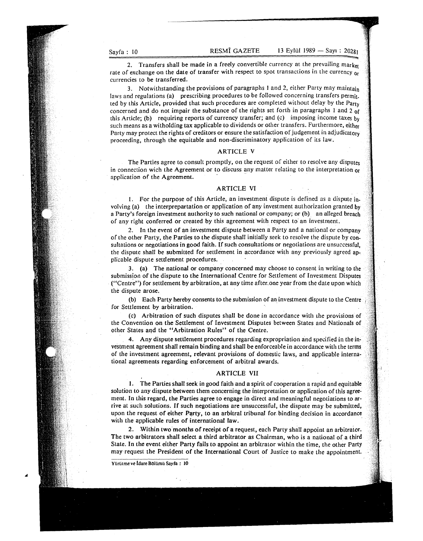2. Transfers shall be made in a freely convertible currency at the prevailing market rate of exchange on the date of transfer with respect to spot transactions in the currency or currencies to be transferred.

3. Notwithstanding the provisions of paragraphs I and 2, either Party may maintain laws and regulations (a) prescribing procedures to be followed concerning transfers permit. ted by this Article, provided that such procedures are completed without delay by the Party concerned and do not impair the substance of the rights set forth in paragraphs I and 2 of this Article; (b) requiring reports of currency transfer; and (c) imposing income taxes by such means as a witholding tax applicable to dividends or other transfers. Furthermore, either Party may protect the rights of creditors or ensure the satisfaction of judgement in adjudicatory proceeding, through the equitable and non-discriminatory application of its law.

# ARTICLE V

The Parties agree to consult promptly, on the request of either to resolve any disputes in connection wich the Agreement or to discuss any matter relating to the interpretation or application of the Agreement.

# ARTICLE VI

1. For the purpose of this Article. an investment dispute is defined as a dispute in. volving (a) the interprepartation or application of any investment authorization granted by a Party's foreign investment authority to such national or company; or (b). an alleged breach of any right conferred or created by this agreement with respect to an investment.

2. In the event of an investment dispute between a Party and a national or company of the other Party, the Parties to the dispute shall initially seek to resolve the dispute by con· sultations or negotiations in good faith. If such consultations or negotiations are unsuccessful. the dispute shall be submitted for settlement in accordance with any previously agreed applicable dispute settlement procedures.

3. (a) The national or company concerned may choose to consent in writing to the submission of the dispute to the International Centre for Settlement of Investment Disputes ("Centre") for settlement by arbitration, at any time after. one year from the date upon which the dispute arose.

(b) Each Party hereby consents to the submission of an investment dispute to the Centre , for Settlement by arbitration.

(c) Arbitration of such disputes shall be done in accordance with the provisions of the Convention on the Settlement of Investment Disputes between States and Nationals of other States and the "Arbitration Rules" of the Centre.

4. Any dispute settlement procedures regarding expropriation and specified in the in~ vestment agreement shall remain binding and shall be enforceable in accordance with the terms of the investment agreement, relevant provisions of domestic laws, and applicable international agreements regarding enforcement of arbitral awards.

#### ARTICLE VII

1. The Parties shall seek in good faith and a spirit of cooperation a rapid and equitable solution to any dispute between them concerning the interpretation or application of this agreement. In this regard, the Parties agree to engage in direct and meaningful negotiations to arrive at such solutions. If such negotiations are unsuccessful. the dispute may be submitted. upon the request of either Party, to an arbitral tribunal for binding decision in accordance with the applicable rules of international law.

2. Within two' months of receipt of a request, each Party shall appoint an arbitrator. The two arbitrators shall select a third arbitrator as Chairman, who is a national of a third Slate. In the event either Party fails to appoint an arbitrator within the time, the other Party may request the President of the International Court of Justice to make the appointment.

Yürütme ve İdare Bölümü Sayfa : 10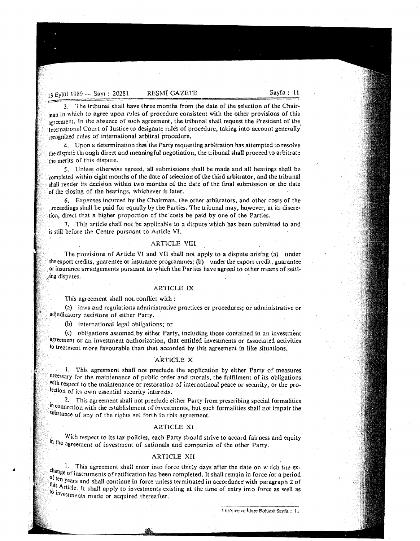13 Eylül (1989 -- Sayı : 20281 RESMÎ GAZETE Sayfa : 11 13 Eylül 1989 — Sa

3. The tribunal shall have three months from the date of the selection of the Chairman in which to agree upon rules of procedure consistent with the other provisions of this agreement. In the absence of such agreement, the tribunal shall request the President of the. International Court of Justice to designate rules of procedure, taking into account generally recognized rules of international arbitral procedure.

4. Upon a determination that the Party requesting arbitration has attempted to resolve the dispute through direct and meaningful negotiation, the tribunal shall proceed to arbitrate . the merits of this dispute.

5. Unlees otherwise agreed, all submissions shall be made and all hearings shall be completed within eight months of the date of selection of the third arbitrator, and the tribunal shall render its decision within two months of the date of the final submission or the date of the closing of the hearings, whichever is later.

6. Expenses incurred by the Chairman, the other arbitrators, and other costs of the Joceedings shall be paid for equally by the Parties. The tribunal may, however, at its discre~ tion, direct that a higher proportion of the costs be paid by one of the Parties.

1. This article shall not be applicable to a dispute which has· been submitted to and is stiit before the Centre pursuant to Article VI.

# ARTICLE VIII

The provisions of Article VI and VII shall not apply to a dispute arising (a) under the export credits, guarentee or insurance programmes; (b) under the export credit, guarantee ! or insurance arrangements pursuant to which the Parties have agreed to other means of settt  $n$ ing disputes.

### ARTICLE IX

This agreement shall not conflict with:

(a) laws and regulations administrative practices or procedures; or administrative or . adjudicatory decisions of either Party. .

(b) international legal obligations; or

, (c) obligations assumed by either Party, including those contained in an investment agreement or an investment authorization, that entitled investments or associated activities to treatment more favourable than that accorded by this agreement in. like situations.

#### ARTICLE X

1. This agreement shaH not preclude the application by either Party of measures necessary for the maintenance of public order and morals, the fulfilment of its obligations with respect to the maintenance or restoration of internatinoal peace or security, or the protection of its own essential security interests.

. 2. This agreement shaIi not preclude either Party from prescribing special formalities In connection with the establishment of investments, but such formalities shall not impair the substance of any of the rights set forth in this agreement.

# ARTICLE XI

With respect to its tax policies, each Party should strive to accord fairness and equity In the agreement of investment of nationals and companies of the other Party.

# ARTICLE XII

1. This agreement shall enter into force thirty days after the date on w  $\pi$  ich the exchange of instruments of ratification has been completed. It shall remain in force ior a period of ten years and shall continue in force unless terminated in accordance with paragraph 2 of this Article. It shall apply to investments existing at the time of entry into force as well as to investments made or acquired therealter.